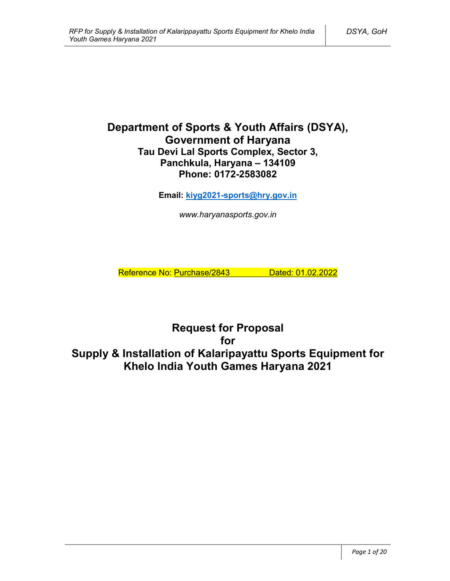# **Department of Sports & Youth Affairs (DSYA), Government of Haryana Tau Devi Lal Sports Complex, Sector 3, Panchkula, Haryana – 134109 Phone: 0172-2583082**

**Email: kiyg2021-sports@hry.gov.in**

*www.haryanasports.gov.in*

Reference No: Purchase/2843 Dated: 01.02.2022

**Request for Proposal for Supply & Installation of Kalaripayattu Sports Equipment for Khelo India Youth Games Haryana 2021**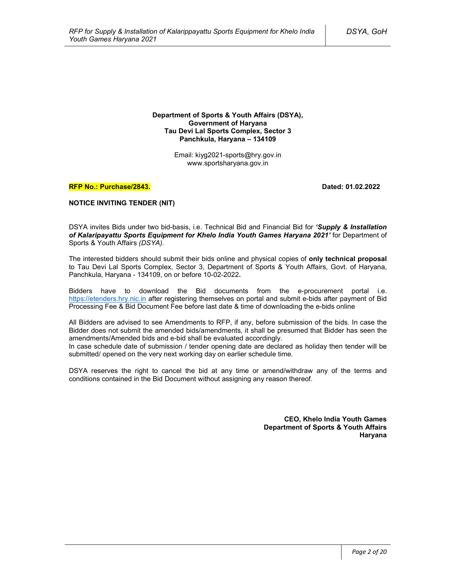**Department of Sports & Youth Affairs (DSYA), Government of Haryana Tau Devi Lal Sports Complex, Sector 3 Panchkula, Haryana – 134109**

> Email: kiyg2021-sports@hry.gov.in www.sportsharyana.gov.in

#### **RFP No.: Purchase/2843. Dated: 01.02.2022**

#### **NOTICE INVITING TENDER (NIT)**

DSYA invites Bids under two bid-basis, i.e. Technical Bid and Financial Bid for *'Supply & Installation of Kalaripayattu Sports Equipment for Khelo India Youth Games Haryana 2021'* for Department of Sports & Youth Affairs *(DSYA)*.

The interested bidders should submit their bids online and physical copies of **only technical proposal** to Tau Devi Lal Sports Complex, Sector 3, Department of Sports & Youth Affairs, Govt. of Haryana, Panchkula, Haryana - 134109, on or before 10-02-2022**.**

Bidders have to download the Bid documents from the e-procurement portal i.e. https://etenders.hry.nic.in after registering themselves on portal and submit e-bids after payment of Bid Processing Fee & Bid Document Fee before last date & time of downloading the e-bids online

All Bidders are advised to see Amendments to RFP, if any, before submission of the bids. In case the Bidder does not submit the amended bids/amendments, it shall be presumed that Bidder has seen the amendments/Amended bids and e-bid shall be evaluated accordingly.

In case schedule date of submission / tender opening date are declared as holiday then tender will be submitted/ opened on the very next working day on earlier schedule time.

DSYA reserves the right to cancel the bid at any time or amend/withdraw any of the terms and conditions contained in the Bid Document without assigning any reason thereof.

> **CEO, Khelo India Youth Games Department of Sports & Youth Affairs Haryana**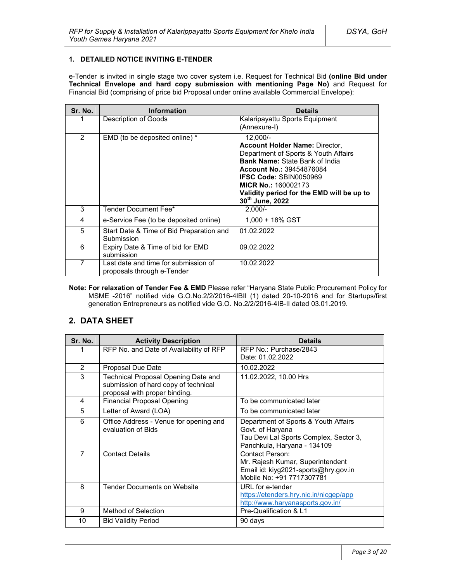### **1. DETAILED NOTICE INVITING E-TENDER**

e-Tender is invited in single stage two cover system i.e. Request for Technical Bid **(online Bid under Technical Envelope and hard copy submission with mentioning Page No)** and Request for Financial Bid (comprising of price bid Proposal under online available Commercial Envelope):

| Sr. No. | <b>Information</b>                                                 | <b>Details</b>                                                                                                                                                                                                                                                                                         |
|---------|--------------------------------------------------------------------|--------------------------------------------------------------------------------------------------------------------------------------------------------------------------------------------------------------------------------------------------------------------------------------------------------|
|         | Description of Goods                                               | Kalaripayattu Sports Equipment<br>(Annexure-I)                                                                                                                                                                                                                                                         |
| 2       | EMD (to be deposited online) *                                     | $12,000/-$<br><b>Account Holder Name: Director,</b><br>Department of Sports & Youth Affairs<br><b>Bank Name: State Bank of India</b><br><b>Account No.: 39454876084</b><br><b>IFSC Code: SBIN0050969</b><br><b>MICR No.: 160002173</b><br>Validity period for the EMD will be up to<br>30th June, 2022 |
| 3       | Tender Document Fee*                                               | $2.000/-$                                                                                                                                                                                                                                                                                              |
| 4       | e-Service Fee (to be deposited online)                             | 1.000 + 18% GST                                                                                                                                                                                                                                                                                        |
| 5       | Start Date & Time of Bid Preparation and<br>Submission             | 01.02.2022                                                                                                                                                                                                                                                                                             |
| 6       | Expiry Date & Time of bid for EMD<br>submission                    | 09.02.2022                                                                                                                                                                                                                                                                                             |
| 7       | Last date and time for submission of<br>proposals through e-Tender | 10.02.2022                                                                                                                                                                                                                                                                                             |

**Note: For relaxation of Tender Fee & EMD** Please refer "Haryana State Public Procurement Policy for MSME -2016" notified vide G.O.No.2/2/2016-4IBII (1) dated 20-10-2016 and for Startups/first generation Entrepreneurs as notified vide G.O. No.2/2/2016-4IB-II dated 03.01.2019.

# **2. DATA SHEET**

| Sr. No.        | <b>Activity Description</b>                                                                                  | <b>Details</b>                                                                                                                    |
|----------------|--------------------------------------------------------------------------------------------------------------|-----------------------------------------------------------------------------------------------------------------------------------|
|                | RFP No. and Date of Availability of RFP                                                                      | RFP No.: Purchase/2843<br>Date: 01.02.2022                                                                                        |
| 2              | Proposal Due Date                                                                                            | 10.02.2022                                                                                                                        |
| 3              | Technical Proposal Opening Date and<br>submission of hard copy of technical<br>proposal with proper binding. | 11.02.2022, 10.00 Hrs                                                                                                             |
| 4              | <b>Financial Proposal Opening</b>                                                                            | To be communicated later                                                                                                          |
| 5              | Letter of Award (LOA)                                                                                        | To be communicated later                                                                                                          |
| 6              | Office Address - Venue for opening and<br>evaluation of Bids                                                 | Department of Sports & Youth Affairs<br>Govt. of Haryana<br>Tau Devi Lal Sports Complex, Sector 3,<br>Panchkula, Haryana - 134109 |
| $\overline{7}$ | <b>Contact Details</b>                                                                                       | Contact Person:<br>Mr. Rajesh Kumar, Superintendent<br>Email id: kiyg2021-sports@hry.gov.in<br>Mobile No: +91 7717307781          |
| 8              | <b>Tender Documents on Website</b>                                                                           | URL for e-tender<br>https://etenders.hry.nic.in/nicgep/app<br>http://www.haryanasports.gov.in/                                    |
| 9              | Method of Selection                                                                                          | Pre-Qualification & L1                                                                                                            |
| 10             | <b>Bid Validity Period</b>                                                                                   | 90 days                                                                                                                           |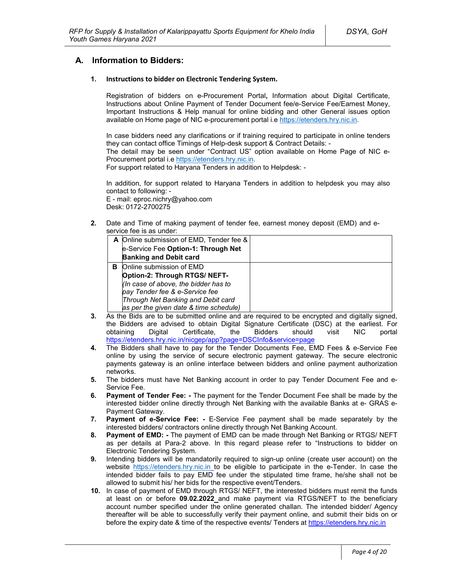# **A. Information to Bidders:**

#### **1. Instructions to bidder on Electronic Tendering System.**

Registration of bidders on e-Procurement Portal**,** Information about Digital Certificate, Instructions about Online Payment of Tender Document fee/e-Service Fee/Earnest Money, Important Instructions & Help manual for online bidding and other General issues option available on Home page of NIC e-procurement portal i.e https://etenders.hry.nic.in.

In case bidders need any clarifications or if training required to participate in online tenders they can contact office Timings of Help-desk support & Contract Details: -

The detail may be seen under "Contract US" option available on Home Page of NIC e-Procurement portal i.e https://etenders.hry.nic.in.

For support related to Haryana Tenders in addition to Helpdesk: -

In addition, for support related to Haryana Tenders in addition to helpdesk you may also contact to following: -

E - mail: eproc.nichry@yahoo.com Desk: 0172-2700275

**2.** Date and Time of making payment of tender fee, earnest money deposit (EMD) and eservice fee is as under:

|   | A Online submission of EMD, Tender fee & |  |
|---|------------------------------------------|--|
|   | e-Service Fee Option-1: Through Net      |  |
|   | <b>Banking and Debit card</b>            |  |
| в | Online submission of EMD                 |  |
|   | Option-2: Through RTGS/ NEFT-            |  |
|   | (In case of above, the bidder has to     |  |
|   | pay Tender fee & e-Service fee           |  |
|   | Through Net Banking and Debit card       |  |
|   | as per the given date & time schedule)   |  |

- **3.** As the Bids are to be submitted online and are required to be encrypted and digitally signed, the Bidders are advised to obtain Digital Signature Certificate (DSC) at the earliest. For obtaining Digital Certificate, the Bidders should visit NIC portal https://etenders.hry.nic.in/nicgep/app?page=DSCInfo&service=page
- **4.** The Bidders shall have to pay for the Tender Documents Fee, EMD Fees & e-Service Fee online by using the service of secure electronic payment gateway. The secure electronic payments gateway is an online interface between bidders and online payment authorization networks.
- **5.** The bidders must have Net Banking account in order to pay Tender Document Fee and e-Service Fee.
- **6. Payment of Tender Fee: -** The payment for the Tender Document Fee shall be made by the interested bidder online directly through Net Banking with the available Banks at e- GRAS e-Payment Gateway.
- **7. Payment of e-Service Fee: -** E-Service Fee payment shall be made separately by the interested bidders/ contractors online directly through Net Banking Account.
- **8. Payment of EMD: -** The payment of EMD can be made through Net Banking or RTGS/ NEFT as per details at Para-2 above. In this regard please refer to "Instructions to bidder on Electronic Tendering System.
- **9.** Intending bidders will be mandatorily required to sign-up online (create user account) on the website https://etenders.hry.nic.in to be eligible to participate in the e-Tender. In case the intended bidder fails to pay EMD fee under the stipulated time frame, he/she shall not be allowed to submit his/ her bids for the respective event/Tenders.
- **10.** In case of payment of EMD through RTGS/ NEFT, the interested bidders must remit the funds at least on or before **09.02.2022** and make payment via RTGS/NEFT to the beneficiary account number specified under the online generated challan. The intended bidder/ Agency thereafter will be able to successfully verify their payment online, and submit their bids on or before the expiry date & time of the respective events/ Tenders at https://etenders.hry.nic.in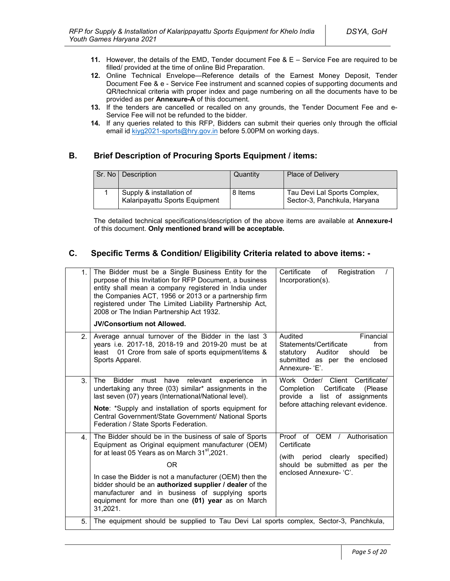- **11.** However, the details of the EMD, Tender document Fee & E Service Fee are required to be filled/ provided at the time of online Bid Preparation.
- **12.** Online Technical Envelope—Reference details of the Earnest Money Deposit, Tender Document Fee & e - Service Fee instrument and scanned copies of supporting documents and QR/technical criteria with proper index and page numbering on all the documents have to be provided as per **Annexure-A** of this document.
- **13.** If the tenders are cancelled or recalled on any grounds, the Tender Document Fee and e-Service Fee will not be refunded to the bidder.
- **14.** If any queries related to this RFP, Bidders can submit their queries only through the official email id kiyg2021-sports@hry.gov.in before 5.00PM on working days.

# **B. Brief Description of Procuring Sports Equipment / items:**

| Sr. No   Description                                       | Quantity | <b>Place of Delivery</b>                                     |
|------------------------------------------------------------|----------|--------------------------------------------------------------|
| Supply & installation of<br>Kalaripayattu Sports Equipment | 8 Items  | Tau Devi Lal Sports Complex,<br>Sector-3, Panchkula, Haryana |

The detailed technical specifications/description of the above items are available at **Annexure-I** of this document. **Only mentioned brand will be acceptable.**

# **C. Specific Terms & Condition/ Eligibility Criteria related to above items: -**

| 1. | The Bidder must be a Single Business Entity for the<br>purpose of this Invitation for RFP Document, a business<br>entity shall mean a company registered in India under<br>the Companies ACT, 1956 or 2013 or a partnership firm<br>registered under The Limited Liability Partnership Act,<br>2008 or The Indian Partnership Act 1932.<br><b>JV/Consortium not Allowed.</b>                                                       | Certificate<br>Registration<br>of<br>Incorporation(s).                                                                                            |
|----|------------------------------------------------------------------------------------------------------------------------------------------------------------------------------------------------------------------------------------------------------------------------------------------------------------------------------------------------------------------------------------------------------------------------------------|---------------------------------------------------------------------------------------------------------------------------------------------------|
| 2. | Average annual turnover of the Bidder in the last 3<br>years i.e. 2017-18, 2018-19 and 2019-20 must be at<br>01 Crore from sale of sports equipment/items &<br>least<br>Sports Apparel.                                                                                                                                                                                                                                            | Audited<br>Financial<br>Statements/Certificate<br>from<br>statutory<br>Auditor<br>be<br>should<br>submitted as per the enclosed<br>Annexure-'E'.  |
| 3. | <b>Bidder</b><br>relevant<br>The<br>must<br>have<br>experience<br>in.<br>undertaking any three (03) similar* assignments in the<br>last seven (07) years (International/National level).<br>Note: *Supply and installation of sports equipment for<br>Central Government/State Government/ National Sports<br>Federation / State Sports Federation.                                                                                | Work Order/ Client Certificate/<br>Certificate<br>Completion<br>(Please)<br>provide a list of assignments<br>before attaching relevant evidence.  |
| 4. | The Bidder should be in the business of sale of Sports<br>Equipment as Original equipment manufacturer (OEM)<br>for at least 05 Years as on March 31 <sup>st</sup> , 2021.<br><b>OR</b><br>In case the Bidder is not a manufacturer (OEM) then the<br>bidder should be an authorized supplier / dealer of the<br>manufacturer and in business of supplying sports<br>equipment for more than one (01) year as on March<br>31,2021. | Proof of OEM /<br>Authorisation<br>Certificate<br>(with period clearly<br>specified)<br>should be submitted as per the<br>enclosed Annexure- 'C'. |
| 5. | The equipment should be supplied to Tau Devi Lal sports complex, Sector-3, Panchkula,                                                                                                                                                                                                                                                                                                                                              |                                                                                                                                                   |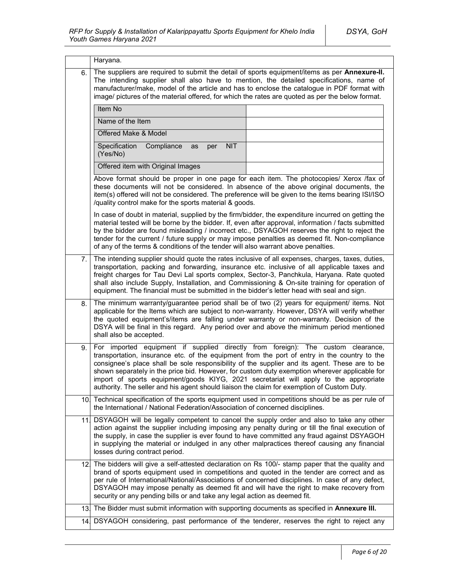|     | Haryana.                                                                                                                                                                                                                                                                                                                                                                                                                                                                                                                                                                  |  |  |  |  |
|-----|---------------------------------------------------------------------------------------------------------------------------------------------------------------------------------------------------------------------------------------------------------------------------------------------------------------------------------------------------------------------------------------------------------------------------------------------------------------------------------------------------------------------------------------------------------------------------|--|--|--|--|
| 6.  | The suppliers are required to submit the detail of sports equipment/items as per Annexure-II.<br>The intending supplier shall also have to mention, the detailed specifications, name of<br>manufacturer/make, model of the article and has to enclose the catalogue in PDF format with<br>image/ pictures of the material offered, for which the rates are quoted as per the below format.                                                                                                                                                                               |  |  |  |  |
|     | Item No                                                                                                                                                                                                                                                                                                                                                                                                                                                                                                                                                                   |  |  |  |  |
|     | Name of the Item                                                                                                                                                                                                                                                                                                                                                                                                                                                                                                                                                          |  |  |  |  |
|     | Offered Make & Model                                                                                                                                                                                                                                                                                                                                                                                                                                                                                                                                                      |  |  |  |  |
|     | Specification<br>Compliance<br><b>NIT</b><br>as<br>per<br>(Yes/No)                                                                                                                                                                                                                                                                                                                                                                                                                                                                                                        |  |  |  |  |
|     | Offered item with Original Images                                                                                                                                                                                                                                                                                                                                                                                                                                                                                                                                         |  |  |  |  |
|     | Above format should be proper in one page for each item. The photocopies/ Xerox /fax of<br>these documents will not be considered. In absence of the above original documents, the<br>item(s) offered will not be considered. The preference will be given to the items bearing ISI/ISO<br>/quality control make for the sports material & goods.                                                                                                                                                                                                                         |  |  |  |  |
|     | In case of doubt in material, supplied by the firm/bidder, the expenditure incurred on getting the<br>material tested will be borne by the bidder. If, even after approval, information / facts submitted<br>by the bidder are found misleading / incorrect etc., DSYAGOH reserves the right to reject the<br>tender for the current / future supply or may impose penalties as deemed fit. Non-compliance<br>of any of the terms & conditions of the tender will also warrant above penalties.                                                                           |  |  |  |  |
| 7.  | The intending supplier should quote the rates inclusive of all expenses, charges, taxes, duties,<br>transportation, packing and forwarding, insurance etc. inclusive of all applicable taxes and<br>freight charges for Tau Devi Lal sports complex, Sector-3, Panchkula, Haryana. Rate quoted<br>shall also include Supply, Installation, and Commissioning & On-site training for operation of<br>equipment. The financial must be submitted in the bidder's letter head with seal and sign.                                                                            |  |  |  |  |
| 8.  | The minimum warranty/guarantee period shall be of two (2) years for equipment/ items. Not<br>applicable for the Items which are subject to non-warranty. However, DSYA will verify whether<br>the quoted equipment's/items are falling under warranty or non-warranty. Decision of the<br>DSYA will be final in this regard. Any period over and above the minimum period mentioned<br>shall also be accepted.                                                                                                                                                            |  |  |  |  |
| 9.  | For imported equipment if supplied directly from foreign): The custom clearance,<br>transportation, insurance etc. of the equipment from the port of entry in the country to the<br>consignee's place shall be sole responsibility of the supplier and its agent. These are to be<br>shown separately in the price bid. However, for custom duty exemption wherever applicable for<br>import of sports equipment/goods KIYG, 2021 secretariat will apply to the appropriate<br>authority. The seller and his agent should liaison the claim for exemption of Custom Duty. |  |  |  |  |
|     | 10. Technical specification of the sports equipment used in competitions should be as per rule of<br>the International / National Federation/Association of concerned disciplines.                                                                                                                                                                                                                                                                                                                                                                                        |  |  |  |  |
| 11  | DSYAGOH will be legally competent to cancel the supply order and also to take any other<br>action against the supplier including imposing any penalty during or till the final execution of<br>the supply, in case the supplier is ever found to have committed any fraud against DSYAGOH<br>in supplying the material or indulged in any other malpractices thereof causing any financial<br>losses during contract period.                                                                                                                                              |  |  |  |  |
| 12. | The bidders will give a self-attested declaration on Rs 100/- stamp paper that the quality and<br>brand of sports equipment used in competitions and quoted in the tender are correct and as<br>per rule of International/National/Associations of concerned disciplines. In case of any defect,<br>DSYAGOH may impose penalty as deemed fit and will have the right to make recovery from<br>security or any pending bills or and take any legal action as deemed fit.                                                                                                   |  |  |  |  |
| 13. | The Bidder must submit information with supporting documents as specified in Annexure III.                                                                                                                                                                                                                                                                                                                                                                                                                                                                                |  |  |  |  |
| 14. | DSYAGOH considering, past performance of the tenderer, reserves the right to reject any                                                                                                                                                                                                                                                                                                                                                                                                                                                                                   |  |  |  |  |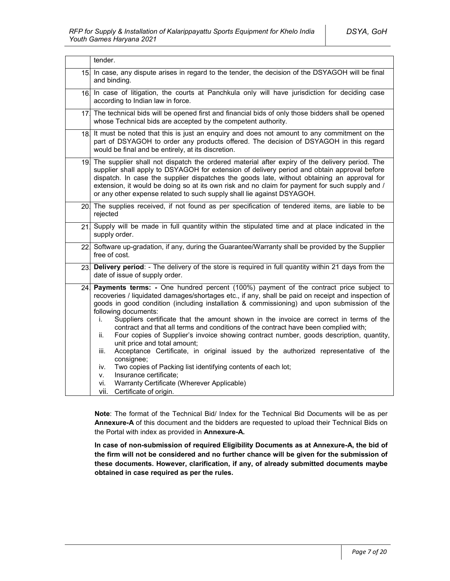|     | tender.                                                                                                                                                                                                                                                                                                                                                                                                                                                                                                                                                                                                                                                                                                                                                                                                                                                                                                                                               |  |
|-----|-------------------------------------------------------------------------------------------------------------------------------------------------------------------------------------------------------------------------------------------------------------------------------------------------------------------------------------------------------------------------------------------------------------------------------------------------------------------------------------------------------------------------------------------------------------------------------------------------------------------------------------------------------------------------------------------------------------------------------------------------------------------------------------------------------------------------------------------------------------------------------------------------------------------------------------------------------|--|
| 15. | In case, any dispute arises in regard to the tender, the decision of the DSYAGOH will be final<br>and binding.                                                                                                                                                                                                                                                                                                                                                                                                                                                                                                                                                                                                                                                                                                                                                                                                                                        |  |
| 16. | In case of litigation, the courts at Panchkula only will have jurisdiction for deciding case<br>according to Indian law in force.                                                                                                                                                                                                                                                                                                                                                                                                                                                                                                                                                                                                                                                                                                                                                                                                                     |  |
| 17. | The technical bids will be opened first and financial bids of only those bidders shall be opened<br>whose Technical bids are accepted by the competent authority.                                                                                                                                                                                                                                                                                                                                                                                                                                                                                                                                                                                                                                                                                                                                                                                     |  |
| 18. | It must be noted that this is just an enquiry and does not amount to any commitment on the<br>part of DSYAGOH to order any products offered. The decision of DSYAGOH in this regard<br>would be final and be entirely, at its discretion.                                                                                                                                                                                                                                                                                                                                                                                                                                                                                                                                                                                                                                                                                                             |  |
| 19. | The supplier shall not dispatch the ordered material after expiry of the delivery period. The<br>supplier shall apply to DSYAGOH for extension of delivery period and obtain approval before<br>dispatch. In case the supplier dispatches the goods late, without obtaining an approval for<br>extension, it would be doing so at its own risk and no claim for payment for such supply and /<br>or any other expense related to such supply shall lie against DSYAGOH.                                                                                                                                                                                                                                                                                                                                                                                                                                                                               |  |
|     | 20. The supplies received, if not found as per specification of tendered items, are liable to be<br>rejected                                                                                                                                                                                                                                                                                                                                                                                                                                                                                                                                                                                                                                                                                                                                                                                                                                          |  |
| 21  | Supply will be made in full quantity within the stipulated time and at place indicated in the<br>supply order.                                                                                                                                                                                                                                                                                                                                                                                                                                                                                                                                                                                                                                                                                                                                                                                                                                        |  |
|     | 22 Software up-gradation, if any, during the Guarantee/Warranty shall be provided by the Supplier<br>free of cost.                                                                                                                                                                                                                                                                                                                                                                                                                                                                                                                                                                                                                                                                                                                                                                                                                                    |  |
| 23. | Delivery period: - The delivery of the store is required in full quantity within 21 days from the<br>date of issue of supply order.                                                                                                                                                                                                                                                                                                                                                                                                                                                                                                                                                                                                                                                                                                                                                                                                                   |  |
| 24  | Payments terms: - One hundred percent (100%) payment of the contract price subject to<br>recoveries / liquidated damages/shortages etc., if any, shall be paid on receipt and inspection of<br>goods in good condition (including installation & commissioning) and upon submission of the<br>following documents:<br>Suppliers certificate that the amount shown in the invoice are correct in terms of the<br>İ.<br>contract and that all terms and conditions of the contract have been complied with;<br>Four copies of Supplier's invoice showing contract number, goods description, quantity,<br>ii.<br>unit price and total amount;<br>Acceptance Certificate, in original issued by the authorized representative of the<br>iii.<br>consignee;<br>Two copies of Packing list identifying contents of each lot;<br>iv.<br>Insurance certificate;<br>٧.<br>Warranty Certificate (Wherever Applicable)<br>vi.<br>vii.<br>Certificate of origin. |  |

**Note**: The format of the Technical Bid/ Index for the Technical Bid Documents will be as per **Annexure-A** of this document and the bidders are requested to upload their Technical Bids on the Portal with index as provided in **Annexure-A.**

**In case of non-submission of required Eligibility Documents as at Annexure-A, the bid of the firm will not be considered and no further chance will be given for the submission of these documents. However, clarification, if any, of already submitted documents maybe obtained in case required as per the rules.**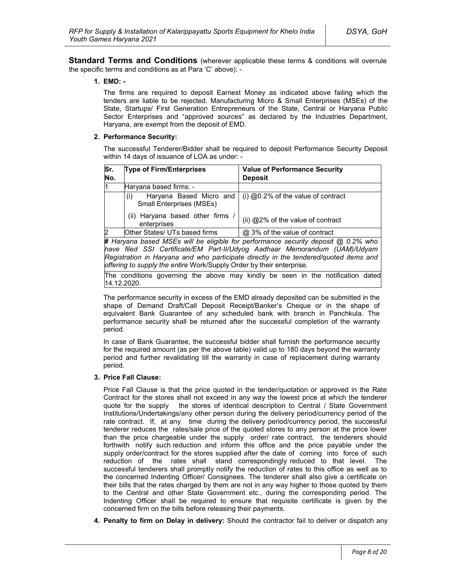**Standard Terms and Conditions** (wherever applicable these terms & conditions will overrule the specific terms and conditions as at Para 'C' above): -

#### **1. EMD: -**

The firms are required to deposit Earnest Money as indicated above failing which the tenders are liable to be rejected. Manufacturing Micro & Small Enterprises (MSEs) of the State, Startups/ First Generation Entrepreneurs of the State, Central or Haryana Public Sector Enterprises and "approved sources" as declared by the Industries Department, Haryana, are exempt from the deposit of EMD.

#### **2. Performance Security:**

The successful Tenderer/Bidder shall be required to deposit Performance Security Deposit within 14 days of issuance of LOA as under: -

| Sr.<br>No.     | <b>Type of Firm/Enterprises</b>                                   | <b>Value of Performance Security</b><br><b>Deposit</b>                              |
|----------------|-------------------------------------------------------------------|-------------------------------------------------------------------------------------|
| l1             | Haryana based firms: -                                            |                                                                                     |
|                | Haryana Based Micro and<br>(i)<br><b>Small Enterprises (MSEs)</b> | $(i)$ @0.2% of the value of contract                                                |
|                | (ii) Haryana based other firms<br>enterprises                     | (ii) @2% of the value of contract                                                   |
| $\overline{2}$ | Other States/ UTs based firms                                     | @ 3% of the value of contract                                                       |
|                |                                                                   | # Harvana hased MSEs will be eligible for performance security deposit @ 0.2% who l |

**#** *Haryana based MSEs will be eligible for performance security deposit @ 0.2% who have filed SSI Certificate/EM Part-II/Udyog Aadhaar Memorandum (UAM)/Udyam Registration in Haryana and who participate directly in the tendered/quoted items and offering to supply the entire* Work/Supply Order by their enterprise*.*

The conditions governing the above may kindly be seen in the notification dated 14.12.2020.

The performance security in excess of the EMD already deposited can be submitted in the shape of Demand Draft/Call Deposit Receipt/Banker's Cheque or in the shape of equivalent Bank Guarantee of any scheduled bank with branch in Panchkula. The performance security shall be returned after the successful completion of the warranty period.

In case of Bank Guarantee, the successful bidder shall furnish the performance security for the required amount (as per the above table) valid up to 180 days beyond the warranty period and further revalidating till the warranty in case of replacement during warranty period.

### **3. Price Fall Clause:**

Price Fall Clause is that the price quoted in the tender/quotation or approved in the Rate Contract for the stores shall not exceed in any way the lowest price at which the tenderer quote for the supply the stores of identical description to Central / State Government Institutions/Undertakings/any other person during the delivery period/currency period of the rate contract. If, at any time during the delivery period/currency period, the successful tenderer reduces the rates/sale price of the quoted stores to any person at the price lower than the price chargeable under the supply order/ rate contract, the tenderers should forthwith notify such reduction and inform this office and the price payable under the supply order/contract for the stores supplied after the date of coming into force of such reduction of the rates shall stand correspondingly reduced to that level. The successful tenderers shall promptly notify the reduction of rates to this office as well as to the concerned Indenting Officer/ Consignees. The tenderer shall also give a certificate on their bills that the rates charged by them are not in any way higher to those quoted by them to the Central and other State Government etc., during the corresponding period. The Indenting Officer shall be required to ensure that requisite certificate is given by the concerned firm on the bills before releasing their payments.

**4. Penalty to firm on Delay in delivery:** Should the contractor fail to deliver or dispatch any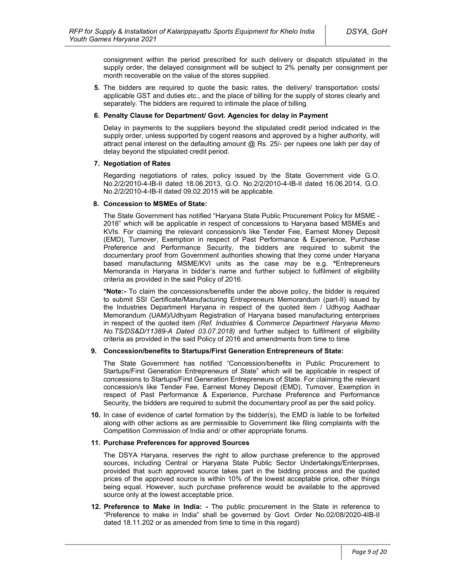consignment within the period prescribed for such delivery or dispatch stipulated in the supply order, the delayed consignment will be subject to 2% penalty per consignment per month recoverable on the value of the stores supplied.

**5.** The bidders are required to quote the basic rates, the delivery/ transportation costs/ applicable GST and duties etc., and the place of billing for the supply of stores clearly and separately. The bidders are required to intimate the place of billing.

#### **6. Penalty Clause for Department/ Govt. Agencies for delay in Payment**

Delay in payments to the suppliers beyond the stipulated credit period indicated in the supply order, unless supported by cogent reasons and approved by a higher authority, will attract penal interest on the defaulting amount  $@$  Rs. 25/- per rupees one lakh per day of delay beyond the stipulated credit period.

#### **7. Negotiation of Rates**

Regarding negotiations of rates, policy issued by the State Government vide G.O. No.2/2/2010-4-IB-II dated 18.06.2013, G.O. No.2/2/2010-4-IB-II dated 16.06.2014, G.O. No.2/2/2010-4-IB-II dated 09.02.2015 will be applicable.

#### **8. Concession to MSMEs of State:**

The State Government has notified "Haryana State Public Procurement Policy for MSME - 2016" which will be applicable in respect of concessions to Haryana based MSMEs and KVIs. For claiming the relevant concession/s like Tender Fee, Earnest Money Deposit (EMD), Turnover, Exemption in respect of Past Performance & Experience, Purchase Preference and Performance Security, the bidders are required to submit the documentary proof from Government authorities showing that they come under Haryana based manufacturing MSME/KVI units as the case may be e.g. **\***Entrepreneurs Memoranda in Haryana in bidder's name and further subject to fulfilment of eligibility criteria as provided in the said Policy of 2016.

**\*Note:-** To claim the concessions/benefits under the above policy, the bidder is required to submit SSI Certificate/Manufacturing Entrepreneurs Memorandum (part-II) issued by the Industries Department Haryana in respect of the quoted item / Udhyog Aadhaar Memorandum (UAM)/Udhyam Registration of Haryana based manufacturing enterprises in respect of the quoted item *(Ref. Industries & Commerce Department Haryana Memo No.TS/DS&D/11389-A Dated 03.07.2018)* and further subject to fulfilment of eligibility criteria as provided in the said Policy of 2016 and amendments from time to time

#### **9. Concession/benefits to Startups/First Generation Entrepreneurs of State:**

The State Government has notified "Concession/benefits in Public Procurement to Startups/First Generation Entrepreneurs of State" which will be applicable in respect of concessions to Startups/First Generation Entrepreneurs of State. For claiming the relevant concession/s like Tender Fee, Earnest Money Deposit (EMD), Turnover, Exemption in respect of Past Performance & Experience, Purchase Preference and Performance Security, the bidders are required to submit the documentary proof as per the said policy.

**10.** In case of evidence of cartel formation by the bidder(s), the EMD is liable to be forfeited along with other actions as are permissible to Government like filing complaints with the Competition Commission of India and/ or other appropriate forums.

#### **11. Purchase Preferences for approved Sources**

The DSYA Haryana, reserves the right to allow purchase preference to the approved sources, including Central or Haryana State Public Sector Undertakings/Enterprises, provided that such approved source takes part in the bidding process and the quoted prices of the approved source is within 10% of the lowest acceptable price, other things being equal. However, such purchase preference would be available to the approved source only at the lowest acceptable price.

**12. Preference to Make in India: -** The public procurement in the State in reference to "Preference to make in India" shall be governed by Govt. Order No.02/08/2020-4IB-II dated 18.11.202 or as amended from time to time in this regard)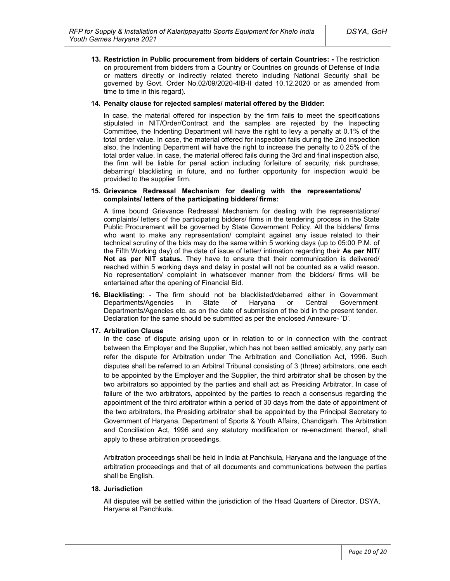**13. Restriction in Public procurement from bidders of certain Countries: -** The restriction on procurement from bidders from a Country or Countries on grounds of Defense of India or matters directly or indirectly related thereto including National Security shall be governed by Govt. Order No.02/09/2020-4IB-II dated 10.12.2020 or as amended from time to time in this regard).

#### **14. Penalty clause for rejected samples/ material offered by the Bidder:**

In case, the material offered for inspection by the firm fails to meet the specifications stipulated in NIT/Order/Contract and the samples are rejected by the Inspecting Committee, the Indenting Department will have the right to levy a penalty at 0.1% of the total order value. In case, the material offered for inspection fails during the 2nd inspection also, the Indenting Department will have the right to increase the penalty to 0.25% of the total order value. In case, the material offered fails during the 3rd and final inspection also, the firm will be liable for penal action including forfeiture of security, risk purchase, debarring/ blacklisting in future, and no further opportunity for inspection would be provided to the supplier firm.

#### **15. Grievance Redressal Mechanism for dealing with the representations/ complaints/ letters of the participating bidders/ firms:**

A time bound Grievance Redressal Mechanism for dealing with the representations/ complaints/ letters of the participating bidders/ firms in the tendering process in the State Public Procurement will be governed by State Government Policy. All the bidders/ firms who want to make any representation/ complaint against any issue related to their technical scrutiny of the bids may do the same within 5 working days (up to 05:00 P.M. of the Fifth Working day) of the date of issue of letter/ intimation regarding their **As per NIT/ Not as per NIT status.** They have to ensure that their communication is delivered/ reached within 5 working days and delay in postal will not be counted as a valid reason. No representation/ complaint in whatsoever manner from the bidders/ firms will be entertained after the opening of Financial Bid.

**16. Blacklisting**: - The firm should not be blacklisted/debarred either in Government Departments/Agencies in State of Haryana or Central Government Departments/Agencies etc. as on the date of submission of the bid in the present tender. Declaration for the same should be submitted as per the enclosed Annexure- 'D'.

### **17. Arbitration Clause**

In the case of dispute arising upon or in relation to or in connection with the contract between the Employer and the Supplier, which has not been settled amicably, any party can refer the dispute for Arbitration under The Arbitration and Conciliation Act, 1996. Such disputes shall be referred to an Arbitral Tribunal consisting of 3 (three) arbitrators, one each to be appointed by the Employer and the Supplier, the third arbitrator shall be chosen by the two arbitrators so appointed by the parties and shall act as Presiding Arbitrator. In case of failure of the two arbitrators, appointed by the parties to reach a consensus regarding the appointment of the third arbitrator within a period of 30 days from the date of appointment of the two arbitrators, the Presiding arbitrator shall be appointed by the Principal Secretary to Government of Haryana, Department of Sports & Youth Affairs, Chandigarh. The Arbitration and Conciliation Act, 1996 and any statutory modification or re-enactment thereof, shall apply to these arbitration proceedings.

Arbitration proceedings shall be held in India at Panchkula, Haryana and the language of the arbitration proceedings and that of all documents and communications between the parties shall be English.

#### **18. Jurisdiction**

All disputes will be settled within the jurisdiction of the Head Quarters of Director, DSYA, Haryana at Panchkula.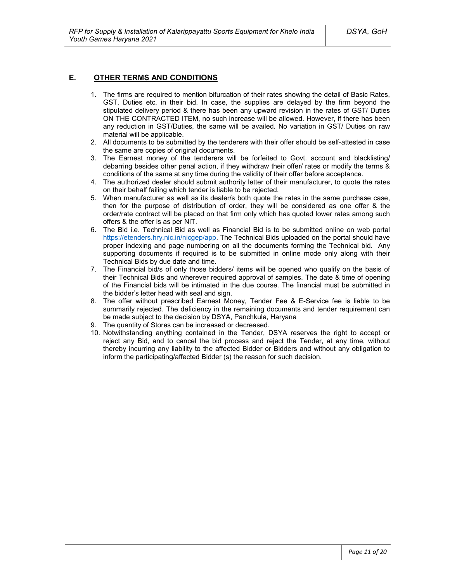### **E. OTHER TERMS AND CONDITIONS**

- 1. The firms are required to mention bifurcation of their rates showing the detail of Basic Rates, GST, Duties etc. in their bid. In case, the supplies are delayed by the firm beyond the stipulated delivery period & there has been any upward revision in the rates of GST/ Duties ON THE CONTRACTED ITEM, no such increase will be allowed. However, if there has been any reduction in GST/Duties, the same will be availed. No variation in GST/ Duties on raw material will be applicable.
- 2. All documents to be submitted by the tenderers with their offer should be self-attested in case the same are copies of original documents.
- 3. The Earnest money of the tenderers will be forfeited to Govt. account and blacklisting/ debarring besides other penal action, if they withdraw their offer/ rates or modify the terms & conditions of the same at any time during the validity of their offer before acceptance.
- 4. The authorized dealer should submit authority letter of their manufacturer, to quote the rates on their behalf failing which tender is liable to be rejected.
- 5. When manufacturer as well as its dealer/s both quote the rates in the same purchase case, then for the purpose of distribution of order, they will be considered as one offer & the order/rate contract will be placed on that firm only which has quoted lower rates among such offers & the offer is as per NIT.
- 6. The Bid i.e. Technical Bid as well as Financial Bid is to be submitted online on web portal https://etenders.hry.nic.in/nicgep/app. The Technical Bids uploaded on the portal should have proper indexing and page numbering on all the documents forming the Technical bid. Any supporting documents if required is to be submitted in online mode only along with their Technical Bids by due date and time.
- 7. The Financial bid/s of only those bidders/ items will be opened who qualify on the basis of their Technical Bids and wherever required approval of samples. The date & time of opening of the Financial bids will be intimated in the due course. The financial must be submitted in the bidder's letter head with seal and sign.
- 8. The offer without prescribed Earnest Money, Tender Fee & E-Service fee is liable to be summarily rejected. The deficiency in the remaining documents and tender requirement can be made subject to the decision by DSYA, Panchkula, Haryana
- 9. The quantity of Stores can be increased or decreased.
- 10. Notwithstanding anything contained in the Tender, DSYA reserves the right to accept or reject any Bid, and to cancel the bid process and reject the Tender, at any time, without thereby incurring any liability to the affected Bidder or Bidders and without any obligation to inform the participating/affected Bidder (s) the reason for such decision.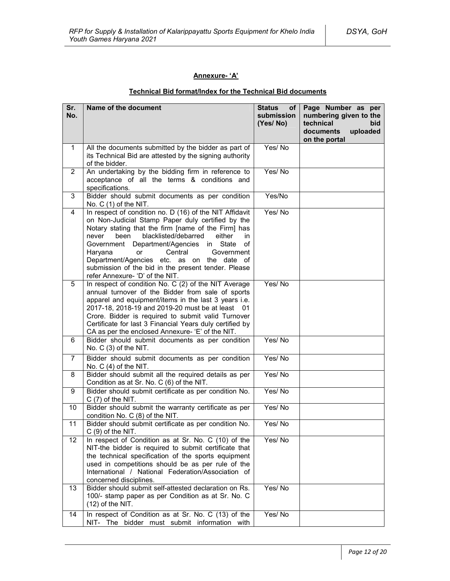### **Annexure- 'A'**

### **Technical Bid format/Index for the Technical Bid documents**

| Sr.<br>No.     | Name of the document                                                                                                                                                                                                                                                                                                                                                                                                                                                            | <b>Status</b><br>оf<br>submission<br>(Yes/No) | Page Number as per<br>numbering given to the<br>technical<br>bid<br>documents<br>uploaded<br>on the portal |
|----------------|---------------------------------------------------------------------------------------------------------------------------------------------------------------------------------------------------------------------------------------------------------------------------------------------------------------------------------------------------------------------------------------------------------------------------------------------------------------------------------|-----------------------------------------------|------------------------------------------------------------------------------------------------------------|
| $\mathbf 1$    | All the documents submitted by the bidder as part of<br>its Technical Bid are attested by the signing authority<br>of the bidder.                                                                                                                                                                                                                                                                                                                                               | Yes/No                                        |                                                                                                            |
| $\overline{2}$ | An undertaking by the bidding firm in reference to<br>acceptance of all the terms & conditions and<br>specifications.                                                                                                                                                                                                                                                                                                                                                           | Yes/No                                        |                                                                                                            |
| 3              | Bidder should submit documents as per condition<br>No. $C(1)$ of the NIT.                                                                                                                                                                                                                                                                                                                                                                                                       | Yes/No                                        |                                                                                                            |
| 4              | In respect of condition no. D (16) of the NIT Affidavit<br>on Non-Judicial Stamp Paper duly certified by the<br>Notary stating that the firm [name of the Firm] has<br>blacklisted/debarred<br>been<br>either<br>in<br>never<br>Department/Agencies<br>in<br>State<br>of<br>Government<br>Haryana<br>Central<br><b>or</b><br>Government<br>Department/Agencies etc. as on the date of<br>submission of the bid in the present tender. Please<br>refer Annexure- 'D' of the NIT. | Yes/No                                        |                                                                                                            |
| 5              | In respect of condition No. C (2) of the NIT Average<br>annual turnover of the Bidder from sale of sports<br>apparel and equipment/items in the last 3 years i.e.<br>2017-18, 2018-19 and 2019-20 must be at least 01<br>Crore. Bidder is required to submit valid Turnover<br>Certificate for last 3 Financial Years duly certified by<br>CA as per the enclosed Annexure- 'E' of the NIT.                                                                                     | Yes/No                                        |                                                                                                            |
| 6              | Bidder should submit documents as per condition<br>No. C (3) of the NIT.                                                                                                                                                                                                                                                                                                                                                                                                        | Yes/No                                        |                                                                                                            |
| $\overline{7}$ | Bidder should submit documents as per condition<br>No. $C(4)$ of the NIT.                                                                                                                                                                                                                                                                                                                                                                                                       | Yes/No                                        |                                                                                                            |
| 8              | Bidder should submit all the required details as per<br>Condition as at Sr. No. C (6) of the NIT.                                                                                                                                                                                                                                                                                                                                                                               | Yes/No                                        |                                                                                                            |
| 9              | Bidder should submit certificate as per condition No.<br>$C(7)$ of the NIT.                                                                                                                                                                                                                                                                                                                                                                                                     | Yes/No                                        |                                                                                                            |
| 10             | Bidder should submit the warranty certificate as per<br>condition No. C (8) of the NIT.                                                                                                                                                                                                                                                                                                                                                                                         | Yes/No                                        |                                                                                                            |
| 11             | Bidder should submit certificate as per condition No.<br>$C(9)$ of the NIT.                                                                                                                                                                                                                                                                                                                                                                                                     | Yes/No                                        |                                                                                                            |
| 12             | In respect of Condition as at Sr. No. C (10) of the<br>NIT-the bidder is required to submit certificate that<br>the technical specification of the sports equipment<br>used in competitions should be as per rule of the<br>International / National Federation/Association of<br>concerned disciplines.                                                                                                                                                                        | Yes/No                                        |                                                                                                            |
| 13             | Bidder should submit self-attested declaration on Rs.<br>100/- stamp paper as per Condition as at Sr. No. C<br>$(12)$ of the NIT.                                                                                                                                                                                                                                                                                                                                               | Yes/No                                        |                                                                                                            |
| 14             | In respect of Condition as at Sr. No. C (13) of the<br>NIT- The bidder must submit information with                                                                                                                                                                                                                                                                                                                                                                             | Yes/No                                        |                                                                                                            |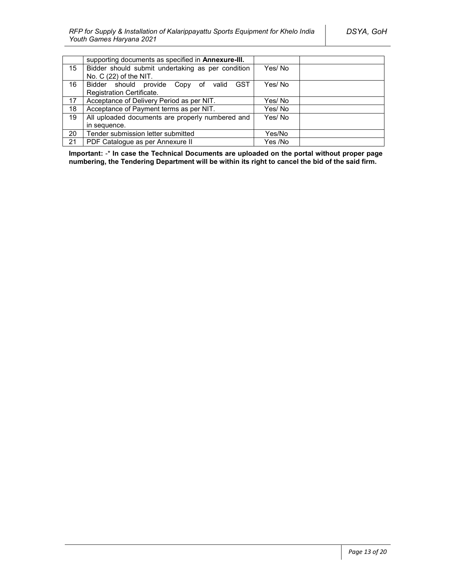|    | supporting documents as specified in <b>Annexure-III.</b> |         |
|----|-----------------------------------------------------------|---------|
| 15 | Bidder should submit undertaking as per condition         | Yes/No  |
|    | No. C (22) of the NIT.                                    |         |
| 16 | <b>GST</b><br>Bidder should provide Copy of<br>valid      | Yes/No  |
|    | Registration Certificate.                                 |         |
| 17 | Acceptance of Delivery Period as per NIT.                 | Yes/No  |
| 18 | Acceptance of Payment terms as per NIT.                   | Yes/No  |
| 19 | All uploaded documents are properly numbered and          | Yes/No  |
|    | in sequence.                                              |         |
| 20 | Tender submission letter submitted                        | Yes/No  |
| 21 | PDF Catalogue as per Annexure II                          | Yes /No |

**Important:** -\* **In case the Technical Documents are uploaded on the portal without proper page numbering, the Tendering Department will be within its right to cancel the bid of the said firm.**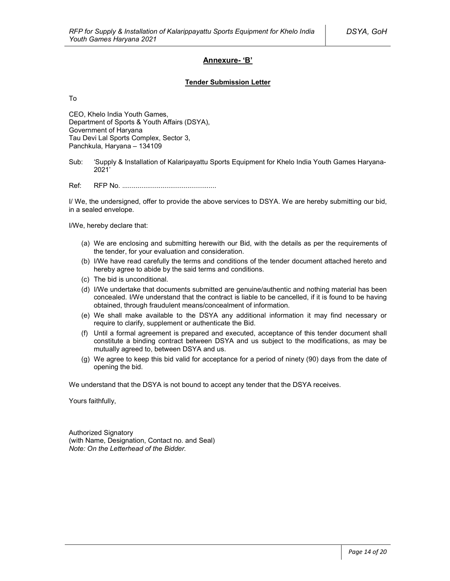### **Annexure- 'B'**

#### **Tender Submission Letter**

To

CEO, Khelo India Youth Games, Department of Sports & Youth Affairs (DSYA), Government of Haryana Tau Devi Lal Sports Complex, Sector 3, Panchkula, Haryana – 134109

Sub: 'Supply & Installation of Kalaripayattu Sports Equipment for Khelo India Youth Games Haryana-2021'

Ref: RFP No. .................................................

I/ We, the undersigned, offer to provide the above services to DSYA. We are hereby submitting our bid, in a sealed envelope.

I/We, hereby declare that:

- (a) We are enclosing and submitting herewith our Bid, with the details as per the requirements of the tender, for your evaluation and consideration.
- (b) I/We have read carefully the terms and conditions of the tender document attached hereto and hereby agree to abide by the said terms and conditions.
- (c) The bid is unconditional.
- (d) I/We undertake that documents submitted are genuine/authentic and nothing material has been concealed. I/We understand that the contract is liable to be cancelled, if it is found to be having obtained, through fraudulent means/concealment of information.
- (e) We shall make available to the DSYA any additional information it may find necessary or require to clarify, supplement or authenticate the Bid.
- (f) Until a formal agreement is prepared and executed, acceptance of this tender document shall constitute a binding contract between DSYA and us subject to the modifications, as may be mutually agreed to, between DSYA and us.
- (g) We agree to keep this bid valid for acceptance for a period of ninety (90) days from the date of opening the bid.

We understand that the DSYA is not bound to accept any tender that the DSYA receives.

Yours faithfully,

Authorized Signatory (with Name, Designation, Contact no. and Seal) *Note: On the Letterhead of the Bidder.*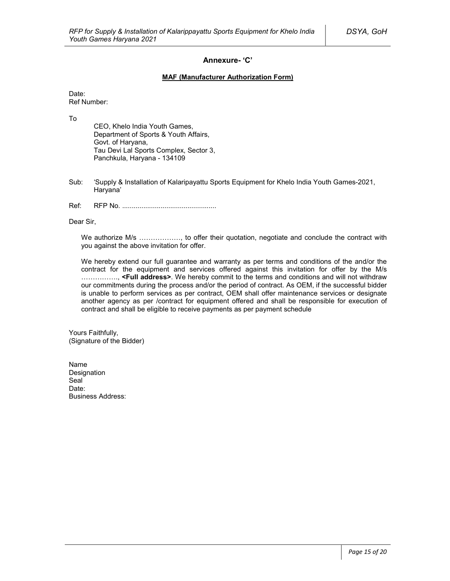### **Annexure- 'C'**

#### **MAF (Manufacturer Authorization Form)**

Date: Ref Number:

To

CEO, Khelo India Youth Games, Department of Sports & Youth Affairs, Govt. of Haryana, Tau Devi Lal Sports Complex, Sector 3, Panchkula, Haryana - 134109

- Sub: 'Supply & Installation of Kalaripayattu Sports Equipment for Khelo India Youth Games-2021, Haryana'
- Ref: RFP No. .................................................

Dear Sir,

We authorize M/s ................., to offer their quotation, negotiate and conclude the contract with you against the above invitation for offer.

We hereby extend our full guarantee and warranty as per terms and conditions of the and/or the contract for the equipment and services offered against this invitation for offer by the M/s ……………., **<Full address>**. We hereby commit to the terms and conditions and will not withdraw our commitments during the process and/or the period of contract. As OEM, if the successful bidder is unable to perform services as per contract, OEM shall offer maintenance services or designate another agency as per /contract for equipment offered and shall be responsible for execution of contract and shall be eligible to receive payments as per payment schedule

Yours Faithfully, (Signature of the Bidder)

Name Designation Seal<sup>1</sup> Date: Business Address: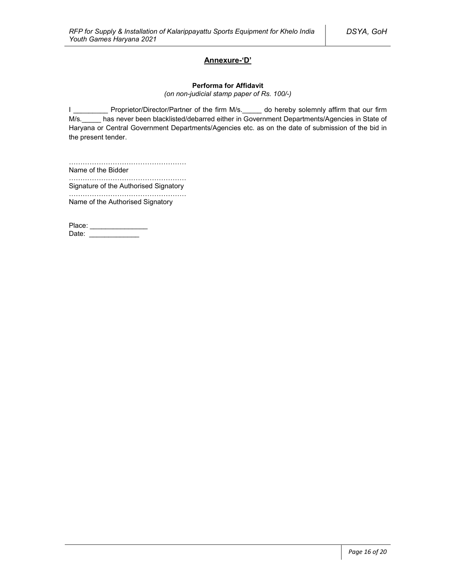### **Annexure-'D'**

#### **Performa for Affidavit**

*(on non-judicial stamp paper of Rs. 100/-)*

I \_\_\_\_\_\_\_\_\_\_ Proprietor/Director/Partner of the firm M/s. \_\_\_\_\_ do hereby solemnly affirm that our firm M/s. has never been blacklisted/debarred either in Government Departments/Agencies in State of Haryana or Central Government Departments/Agencies etc. as on the date of submission of the bid in the present tender.

…………………………………………… Name of the Bidder

…………………………………………………… Signature of the Authorised Signatory

…………………………………………… Name of the Authorised Signatory

Place: \_\_\_\_\_\_\_\_\_\_\_\_\_\_\_\_\_ Date: \_\_\_\_\_\_\_\_\_\_\_\_\_\_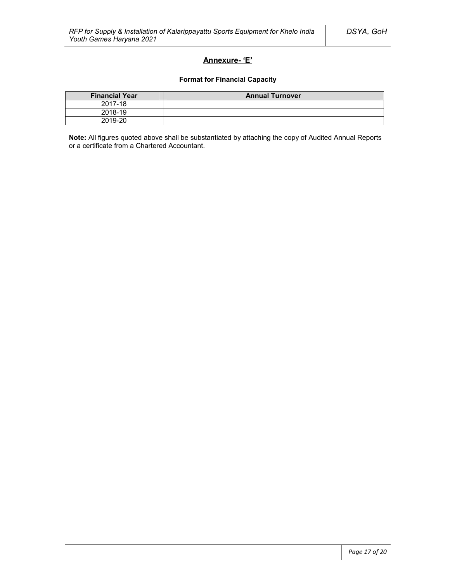### **Annexure- 'E'**

#### **Format for Financial Capacity**

| <b>Financial Year</b> | <b>Annual Turnover</b> |
|-----------------------|------------------------|
| 2017-18               |                        |
| 2018-19               |                        |
| 2019-20               |                        |

**Note:** All figures quoted above shall be substantiated by attaching the copy of Audited Annual Reports or a certificate from a Chartered Accountant.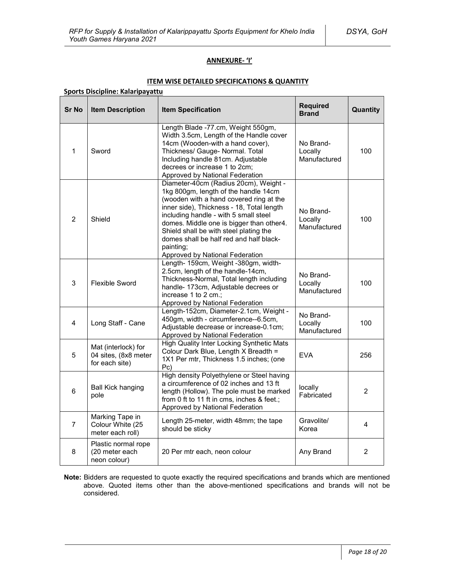### **ANNEXURE- 'I'**

### **ITEM WISE DETAILED SPECIFICATIONS & QUANTITY**

# **Sports Discipline: Kalaripayattu**

| <b>Sr No</b>            | <b>Item Description</b>                                       | <b>Item Specification</b>                                                                                                                                                                                                                                                                                                                                                                       | <b>Required</b><br><b>Brand</b>      | Quantity       |
|-------------------------|---------------------------------------------------------------|-------------------------------------------------------------------------------------------------------------------------------------------------------------------------------------------------------------------------------------------------------------------------------------------------------------------------------------------------------------------------------------------------|--------------------------------------|----------------|
| $\mathbf{1}$            | Sword                                                         | Length Blade -77.cm, Weight 550gm,<br>Width 3.5cm, Length of the Handle cover<br>14cm (Wooden-with a hand cover),<br>Thickness/ Gauge- Normal. Total<br>Including handle 81cm. Adjustable<br>decrees or increase 1 to 2cm;<br>Approved by National Federation                                                                                                                                   | No Brand-<br>Locally<br>Manufactured | 100            |
| $\overline{2}$          | Shield                                                        | Diameter-40cm (Radius 20cm), Weight -<br>1kg 800gm, length of the handle 14cm<br>(wooden with a hand covered ring at the<br>inner side), Thickness - 18, Total length<br>including handle - with 5 small steel<br>domes. Middle one is bigger than other4.<br>Shield shall be with steel plating the<br>domes shall be half red and half black-<br>painting;<br>Approved by National Federation | No Brand-<br>Locally<br>Manufactured | 100            |
| 3                       | <b>Flexible Sword</b>                                         | Length- 159cm, Weight -380gm, width-<br>2.5cm, length of the handle-14cm,<br>Thickness-Normal, Total length including<br>handle- 173cm, Adjustable decrees or<br>increase 1 to 2 cm.;<br>Approved by National Federation                                                                                                                                                                        | No Brand-<br>Locally<br>Manufactured | 100            |
| $\overline{\mathbf{4}}$ | Long Staff - Cane                                             | Length-152cm, Diameter-2.1cm, Weight -<br>450gm, width - circumference--6.5cm,<br>Adjustable decrease or increase-0.1cm;<br>Approved by National Federation                                                                                                                                                                                                                                     | No Brand-<br>Locally<br>Manufactured | 100            |
| 5                       | Mat (interlock) for<br>04 sites, (8x8 meter<br>for each site) | High Quality Inter Locking Synthetic Mats<br>Colour Dark Blue, Length X Breadth =<br>1X1 Per mtr, Thickness 1.5 inches; (one<br>Pc)                                                                                                                                                                                                                                                             | <b>EVA</b>                           | 256            |
| 6                       | <b>Ball Kick hanging</b><br>pole                              | High density Polyethylene or Steel having<br>a circumference of 02 inches and 13 ft<br>length (Hollow). The pole must be marked<br>from 0 ft to 11 ft in cms, inches & feet.;<br>Approved by National Federation                                                                                                                                                                                | locally<br>Fabricated                | $\overline{2}$ |
| $\overline{7}$          | Marking Tape in<br>Colour White (25<br>meter each roll)       | Length 25-meter, width 48mm; the tape<br>should be sticky                                                                                                                                                                                                                                                                                                                                       | Gravolite/<br>Korea                  | 4              |
| 8                       | Plastic normal rope<br>(20 meter each<br>neon colour)         | 20 Per mtr each, neon colour                                                                                                                                                                                                                                                                                                                                                                    | Any Brand                            | 2              |

**Note:** Bidders are requested to quote exactly the required specifications and brands which are mentioned above. Quoted items other than the above-mentioned specifications and brands will not be considered.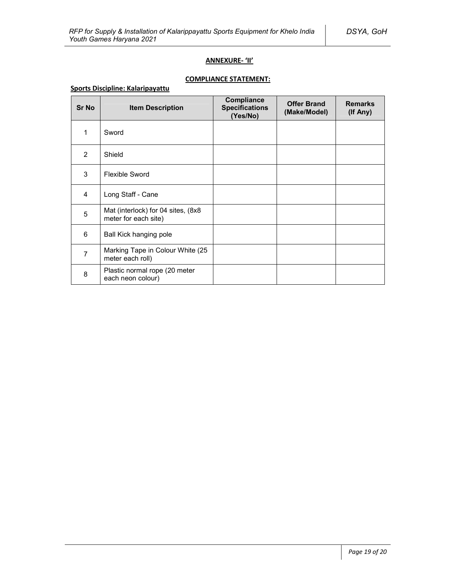### **ANNEXURE- 'II'**

### **COMPLIANCE STATEMENT:**

### **Sports Discipline: Kalaripayattu**

| <b>Sr No</b>   | <b>Item Description</b>                                    | Compliance<br><b>Specifications</b><br>(Yes/No) | <b>Offer Brand</b><br>(Make/Model) | <b>Remarks</b><br>(If Any) |
|----------------|------------------------------------------------------------|-------------------------------------------------|------------------------------------|----------------------------|
| 1              | Sword                                                      |                                                 |                                    |                            |
| $\overline{2}$ | Shield                                                     |                                                 |                                    |                            |
| 3              | <b>Flexible Sword</b>                                      |                                                 |                                    |                            |
| $\overline{4}$ | Long Staff - Cane                                          |                                                 |                                    |                            |
| 5              | Mat (interlock) for 04 sites, (8x8<br>meter for each site) |                                                 |                                    |                            |
| 6              | Ball Kick hanging pole                                     |                                                 |                                    |                            |
| $\overline{7}$ | Marking Tape in Colour White (25<br>meter each roll)       |                                                 |                                    |                            |
| 8              | Plastic normal rope (20 meter<br>each neon colour)         |                                                 |                                    |                            |